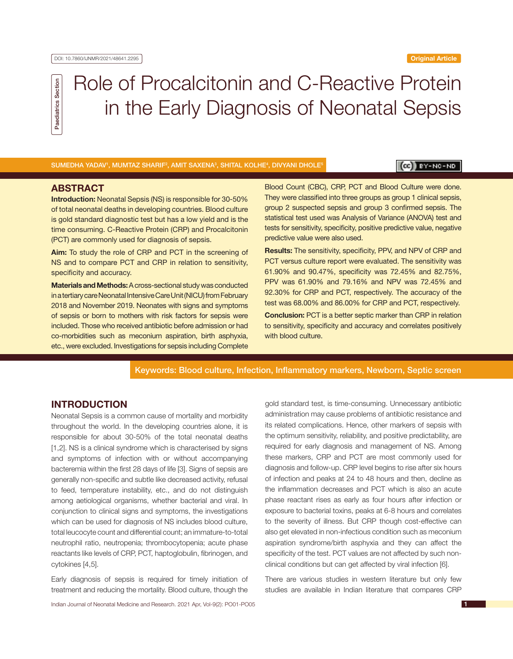Paediatrics Section Paediatrics Section

# Role of Procalcitonin and C-Reactive Protein in the Early Diagnosis of Neonatal Sepsis

SUMEDHA YADAV', MUMTAZ SHARIF<sup>2</sup>, AMIT SAXENA<sup>3</sup>, SHITAL KOLHE<sup>4</sup>, DIVYANI DHOLE<sup>5</sup>

# $(c)$   $y - NC - NO$

# **ABSTRACT**

**Introduction:** Neonatal Sepsis (NS) is responsible for 30-50% of total neonatal deaths in developing countries. Blood culture is gold standard diagnostic test but has a low yield and is the time consuming. C-Reactive Protein (CRP) and Procalcitonin (PCT) are commonly used for diagnosis of sepsis.

**Aim:** To study the role of CRP and PCT in the screening of NS and to compare PCT and CRP in relation to sensitivity, specificity and accuracy.

**Materials and Methods:** A cross-sectional study was conducted in a tertiary care Neonatal Intensive Care Unit (NICU) from February 2018 and November 2019. Neonates with signs and symptoms of sepsis or born to mothers with risk factors for sepsis were included. Those who received antibiotic before admission or had co-morbidities such as meconium aspiration, birth asphyxia, etc., were excluded. Investigations for sepsis including Complete

Blood Count (CBC), CRP, PCT and Blood Culture were done. They were classified into three groups as group 1 clinical sepsis, group 2 suspected sepsis and group 3 confirmed sepsis. The statistical test used was Analysis of Variance (ANOVA) test and tests for sensitivity, specificity, positive predictive value, negative predictive value were also used.

**Results:** The sensitivity, specificity, PPV, and NPV of CRP and PCT versus culture report were evaluated. The sensitivity was 61.90% and 90.47%, specificity was 72.45% and 82.75%, PPV was 61.90% and 79.16% and NPV was 72.45% and 92.30% for CRP and PCT, respectively. The accuracy of the test was 68.00% and 86.00% for CRP and PCT, respectively. **Conclusion:** PCT is a better septic marker than CRP in relation to sensitivity, specificity and accuracy and correlates positively with blood culture.

Keywords: Blood culture, Infection, Inflammatory markers, Newborn, Septic screen

# **INTRODUCTION**

Neonatal Sepsis is a common cause of mortality and morbidity throughout the world. In the developing countries alone, it is responsible for about 30-50% of the total neonatal deaths [1,2]. NS is a clinical syndrome which is characterised by signs and symptoms of infection with or without accompanying bacteremia within the first 28 days of life [3]. Signs of sepsis are generally non-specific and subtle like decreased activity, refusal to feed, temperature instability, etc., and do not distinguish among aetiological organisms, whether bacterial and viral. In conjunction to clinical signs and symptoms, the investigations which can be used for diagnosis of NS includes blood culture, total leucocyte count and differential count; an immature-to-total neutrophil ratio, neutropenia; thrombocytopenia; acute phase reactants like levels of CRP, PCT, haptoglobulin, fibrinogen, and cytokines [4,5].

Early diagnosis of sepsis is required for timely initiation of treatment and reducing the mortality. Blood culture, though the gold standard test, is time-consuming. Unnecessary antibiotic administration may cause problems of antibiotic resistance and its related complications. Hence, other markers of sepsis with the optimum sensitivity, reliability, and positive predictability, are required for early diagnosis and management of NS. Among these markers, CRP and PCT are most commonly used for diagnosis and follow-up. CRP level begins to rise after six hours of infection and peaks at 24 to 48 hours and then, decline as the inflammation decreases and PCT which is also an acute phase reactant rises as early as four hours after infection or exposure to bacterial toxins, peaks at 6-8 hours and correlates to the severity of illness. But CRP though cost-effective can also get elevated in non-infectious condition such as meconium aspiration syndrome/birth asphyxia and they can affect the specificity of the test. PCT values are not affected by such nonclinical conditions but can get affected by viral infection [6].

There are various studies in western literature but only few studies are available in Indian literature that compares CRP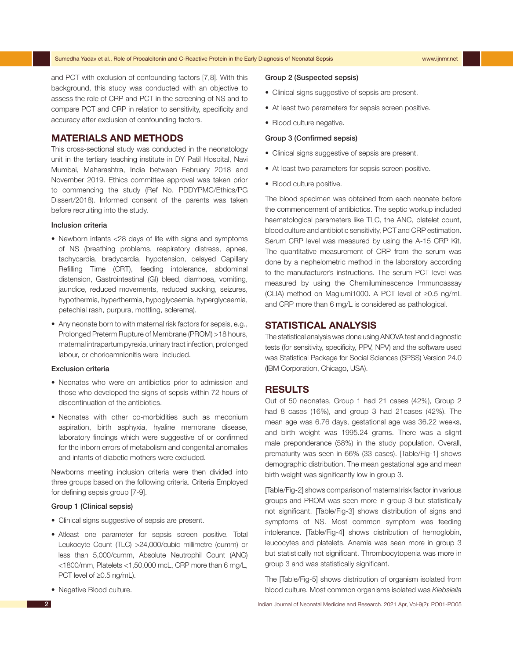and PCT with exclusion of confounding factors [7,8]. With this background, this study was conducted with an objective to assess the role of CRP and PCT in the screening of NS and to compare PCT and CRP in relation to sensitivity, specificity and accuracy after exclusion of confounding factors.

# **MATERIALS AND METHODS**

This cross-sectional study was conducted in the neonatology unit in the tertiary teaching institute in DY Patil Hospital, Navi Mumbai, Maharashtra, India between February 2018 and November 2019. Ethics committee approval was taken prior to commencing the study (Ref No. PDDYPMC/Ethics/PG Dissert/2018). Informed consent of the parents was taken before recruiting into the study.

#### Inclusion criteria

- Newborn infants <28 days of life with signs and symptoms of NS (breathing problems, respiratory distress, apnea, tachycardia, bradycardia, hypotension, delayed Capillary Refilling Time (CRT), feeding intolerance, abdominal distension, Gastrointestinal (GI) bleed, diarrhoea, vomiting, jaundice, reduced movements, reduced sucking, seizures, hypothermia, hyperthermia, hypoglycaemia, hyperglycaemia, petechial rash, purpura, mottling, sclerema).
- Any neonate born to with maternal risk factors for sepsis, e.g., Prolonged Preterm Rupture of Membrane (PROM) >18 hours, maternal intrapartum pyrexia, urinary tract infection, prolonged labour, or chorioamnionitis were included.

#### Exclusion criteria

- Neonates who were on antibiotics prior to admission and those who developed the signs of sepsis within 72 hours of discontinuation of the antibiotics.
- Neonates with other co-morbidities such as meconium aspiration, birth asphyxia, hyaline membrane disease, laboratory findings which were suggestive of or confirmed for the inborn errors of metabolism and congenital anomalies and infants of diabetic mothers were excluded.

Newborns meeting inclusion criteria were then divided into three groups based on the following criteria. Criteria Employed for defining sepsis group [7-9].

### Group 1 (Clinical sepsis)

- Clinical signs suggestive of sepsis are present.
- Atleast one parameter for sepsis screen positive. Total Leukocyte Count (TLC) >24,000/cubic millimetre (cumm) or less than 5,000/cumm, Absolute Neutrophil Count (ANC) <1800/mm, Platelets <1,50,000 mcL, CRP more than 6 mg/L, PCT level of ≥0.5 ng/mL).
- Negative Blood culture.

#### Group 2 (Suspected sepsis)

- Clinical signs suggestive of sepsis are present.
- At least two parameters for sepsis screen positive.
- Blood culture negative.

#### Group 3 (Confirmed sepsis)

- Clinical signs suggestive of sepsis are present.
- At least two parameters for sepsis screen positive.
- Blood culture positive.

The blood specimen was obtained from each neonate before the commencement of antibiotics. The septic workup included haematological parameters like TLC, the ANC, platelet count, blood culture and antibiotic sensitivity, PCT and CRP estimation. Serum CRP level was measured by using the A-15 CRP Kit. The quantitative measurement of CRP from the serum was done by a nephelometric method in the laboratory according to the manufacturer's instructions. The serum PCT level was measured by using the Chemiluminescence Immunoassay (CLIA) method on Maglumi1000. A PCT level of ≥0.5 ng/mL and CRP more than 6 mg/L is considered as pathological.

# **STATISTICAL ANALYSIS**

The statistical analysis was done using ANOVA test and diagnostic tests (for sensitivity, specificity, PPV, NPV) and the software used was Statistical Package for Social Sciences (SPSS) Version 24.0 (IBM Corporation, Chicago, USA).

# **RESULTS**

Out of 50 neonates, Group 1 had 21 cases (42%), Group 2 had 8 cases (16%), and group 3 had 21cases (42%). The mean age was 6.76 days, gestational age was 36.22 weeks, and birth weight was 1995.24 grams. There was a slight male preponderance (58%) in the study population. Overall, prematurity was seen in 66% (33 cases). [Table/Fig-1] shows demographic distribution. The mean gestational age and mean birth weight was significantly low in group 3.

[Table/Fig-2] shows comparison of maternal risk factor in various groups and PROM was seen more in group 3 but statistically not significant. [Table/Fig-3] shows distribution of signs and symptoms of NS. Most common symptom was feeding intolerance. [Table/Fig-4] shows distribution of hemoglobin, leucocytes and platelets. Anemia was seen more in group 3 but statistically not significant. Thrombocytopenia was more in group 3 and was statistically significant.

The [Table/Fig-5] shows distribution of organism isolated from blood culture. Most common organisms isolated was *Klebsiella* 

2 Indian Journal of Neonatal Medicine and Research. 2021 Apr, Vol-9(2): PO01-PO05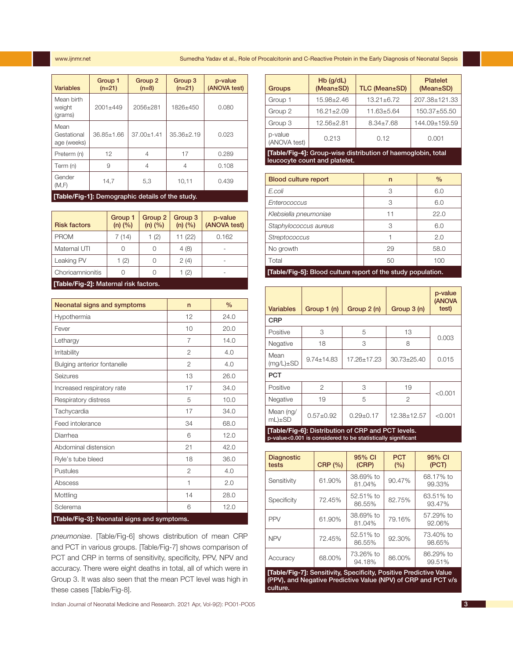#### www.ijnmr.net Sumedha Yadav et al., Role of Procalcitonin and C-Reactive Protein in the Early Diagnosis of Neonatal Sepsis

| <b>Variables</b>                   | Group 1<br>$(n=21)$ | Group 2<br>$(n=8)$ | Group 3<br>$(n=21)$ | p-value<br>(ANOVA test) |
|------------------------------------|---------------------|--------------------|---------------------|-------------------------|
| Mean birth<br>weight<br>(grams)    | $2001 + 449$        | 2056+281           | 1826+450            | 0.080                   |
| Mean<br>Gestational<br>age (weeks) | $36.85 + 1.66$      | $37.00 + 1.41$     | $35.36 \pm 2.19$    | 0.023                   |
| Preterm (n)                        | 12                  | 4                  | 17                  | 0.289                   |
| Term (n)                           | 9                   | 4                  | 4                   | 0.108                   |
| Gender<br>(M,F)                    | 14,7                | 5,3                | 10,11               | 0.439                   |

**[Table/Fig-1]:** Demographic details of the study.

| <b>Risk factors</b>                   | Group 1<br>$(n)$ $(\%)$ | Group 2<br>$(n)$ $(\%)$ | Group 3<br>$(n)$ $(\%)$ | p-value<br>(ANOVA test) |
|---------------------------------------|-------------------------|-------------------------|-------------------------|-------------------------|
| <b>PROM</b>                           | 7 (14)                  | 1(2)                    | 11(22)                  | 0.162                   |
| Maternal UTI                          |                         |                         | 4(8)                    |                         |
| Leaking PV                            | 1(2)                    |                         | 2(4)                    |                         |
| Chorioamnionitis                      |                         |                         | 1(2)                    |                         |
| [Table/Fig-2]: Maternal risk factors. |                         |                         |                         |                         |

| Neonatal signs and symptoms                 | n              | $\frac{0}{0}$ |  |  |
|---------------------------------------------|----------------|---------------|--|--|
| Hypothermia                                 | 12             | 24.0          |  |  |
| Fever                                       | 10             | 20.0          |  |  |
| Lethargy                                    | 7              | 14.0          |  |  |
| Irritability                                | $\overline{2}$ | 4.0           |  |  |
| Bulging anterior fontanelle                 | $\overline{2}$ | 4.0           |  |  |
| Seizures                                    | 13             | 26.0          |  |  |
| Increased respiratory rate                  | 17             | 34.0          |  |  |
| Respiratory distress                        | 5              | 10.0          |  |  |
| Tachycardia                                 | 17             | 34.0          |  |  |
| Feed intolerance                            | 34             | 68.0          |  |  |
| Diarrhea                                    | 6              | 12.0          |  |  |
| Abdominal distension                        | 21             | 42.0          |  |  |
| Ryle's tube bleed                           | 18             | 36.0          |  |  |
| Pustules                                    | $\overline{2}$ | 4.0           |  |  |
| Abscess                                     | 1              | 2.0           |  |  |
| Mottling                                    | 14             | 28.0          |  |  |
| Sclerema                                    | 6              | 12.0          |  |  |
| [Table/Fig-3]: Neonatal signs and symptoms. |                |               |  |  |

*pneumoniae*. [Table/Fig-6] shows distribution of mean CRP and PCT in various groups. [Table/Fig-7] shows comparison of PCT and CRP in terms of sensitivity, specificity, PPV, NPV and accuracy. There were eight deaths in total, all of which were in Group 3. It was also seen that the mean PCT level was high in these cases [Table/Fig-8].

Indian Journal of Neonatal Medicine and Research. 2021 Apr, Vol-9(2): PO01-PO05 3

| <b>Groups</b>                                                                           | $Hb$ (g/dL)<br>(Mean±SD) | TLC (Mean±SD)    | <b>Platelet</b><br>(Mean±SD) |  |
|-----------------------------------------------------------------------------------------|--------------------------|------------------|------------------------------|--|
| Group 1                                                                                 | 15.98±2.46               | $13.21 \pm 6.72$ | 207.38±121.33                |  |
| Group 2                                                                                 | $16.21 \pm 2.09$         | $11.63 \pm 5.64$ | 150.37±55.50                 |  |
| Group 3                                                                                 | 12.56±2.81               | $8.34 \pm 7.68$  | 144.09±159.59                |  |
| p-value<br>(ANOVA test)                                                                 | 0.213                    | 0.12             | 0.001                        |  |
| - 『天の日本 - 『天の日本 - 『天の日本 - 『天の日本 - 『天の日本 - 『天の日本 - 『天の日本 - 『天の日本 - 『天の日本 - 『天の日本 - 『天の日本 |                          |                  |                              |  |

**[Table/Fig-4]:** Group-wise distribution of haemoglobin, total leucocyte count and platelet.

| <b>Blood culture report</b> | n  | $\frac{0}{0}$ |
|-----------------------------|----|---------------|
| E.coli                      | 3  | 6.0           |
| Enterococcus                | 3  | 6.0           |
| Klebsiella pneumoniae       | 11 | 22.0          |
| Staphylococcus aureus       | З  | 6.0           |
| Streptococcus               |    | 2.0           |
| No growth                   | 29 | 58.0          |
| Total                       | 50 | 100           |
|                             |    |               |

**[Table/Fig-5]:** Blood culture report of the study population.

| <b>Variables</b>                                   | Group 1 (n)      | Group 2 (n)   | Group 3 (n) | p-value<br>(ANOVA<br>test) |
|----------------------------------------------------|------------------|---------------|-------------|----------------------------|
| <b>CRP</b>                                         |                  |               |             |                            |
| Positive                                           | 3                | 5             | 13          |                            |
| Negative                                           | 18               | 3             | 8           | 0.003                      |
| Mean<br>$(mg/L)\pm SD$                             | $9.74 \pm 14.83$ | 17.26+17.23   | 30.73±25.40 | 0.015                      |
| <b>PCT</b>                                         |                  |               |             |                            |
| Positive                                           | 2                | 3             | 19          |                            |
| Negative                                           | 19               | 5             | 2           | < 0.001                    |
| Mean (ng/<br>$mL) \pm SD$                          | $0.57 + 0.92$    | $0.29 + 0.17$ | 12.38±12.57 | < 0.001                    |
| [Table/Fig-6]: Distribution of CRP and PCT levels. |                  |               |             |                            |

p-value<0.001 is considered to be statistically significant

| <b>Diagnostic</b><br>tests | <b>CRP</b> (%) | 95% CI<br>(CRP)     | <b>PCT</b><br>(%) | 95% CI<br>(PCT)     |
|----------------------------|----------------|---------------------|-------------------|---------------------|
| Sensitivity                | 61.90%         | 38.69% to<br>81.04% | 90.47%            | 68.17% to<br>99.33% |
| Specificity                | 72.45%         | 52.51% to<br>86.55% | 82.75%            | 63.51% to<br>93.47% |
| <b>PPV</b>                 | 61.90%         | 38.69% to<br>81.04% | 79.16%            | 57.29% to<br>92.06% |
| <b>NPV</b>                 | 72.45%         | 52.51% to<br>86.55% | 92.30%            | 73.40% to<br>98.65% |
| Accuracy                   | 68.00%         | 73.26% to<br>94.18% | 86.00%            | 86.29% to<br>99.51% |

**[Table/Fig-7]:** Sensitivity, Specificity, Positive Predictive Value (PPV), and Negative Predictive Value (NPV) of CRP and PCT v/s culture.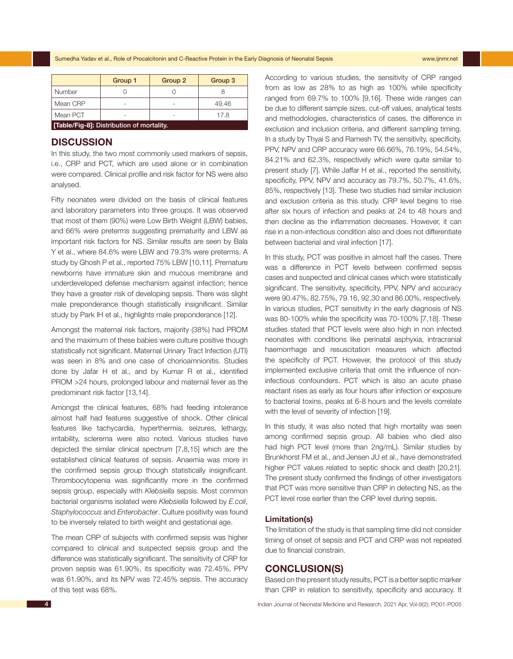Sumedha Yadav et al., Role of Procalcitonin and C-Reactive Protein in the Early Diagnosis of Neonatal Sepsis www.ijnmr.net

|                                           | Group 1 | Group 2 | Group 3 |  |  |  |
|-------------------------------------------|---------|---------|---------|--|--|--|
| Number                                    |         |         |         |  |  |  |
| Mean CRP                                  |         |         | 49.46   |  |  |  |
| Mean PCT<br>17.8                          |         |         |         |  |  |  |
| [Table/Fig-8]: Distribution of mortality. |         |         |         |  |  |  |

# **DISCUSSION**

In this study, the two most commonly used markers of sepsis, i.e., CRP and PCT, which are used alone or in combination were compared. Clinical profile and risk factor for NS were also analysed.

Fifty neonates were divided on the basis of clinical features and laboratory parameters into three groups. It was observed that most of them (90%) were Low Birth Weight (LBW) babies, and 66% were preterms suggesting prematurity and LBW as important risk factors for NS. Similar results are seen by Bala Y et al., where 84.6% were LBW and 79.3% were preterms. A study by Ghosh P et al., reported 75% LBW [10,11]. Premature newborns have immature skin and mucous membrane and underdeveloped defense mechanism against infection; hence they have a greater risk of developing sepsis. There was slight male preponderance though statistically insignificant. Similar study by Park IH et al., highlights male preponderance [12].

Amongst the maternal risk factors, majority (38%) had PROM and the maximum of these babies were culture positive though statistically not significant. Maternal Urinary Tract Infection (UTI) was seen in 8% and one case of chorioamnionitis. Studies done by Jafar H et al., and by Kumar R et al., identified PROM >24 hours, prolonged labour and maternal fever as the predominant risk factor [13,14].

Amongst the clinical features, 68% had feeding intolerance almost half had features suggestive of shock. Other clinical features like tachycardia, hyperthermia, seizures, lethargy, irritability, sclerema were also noted. Various studies have depicted the similar clinical spectrum [7,8,15] which are the established clinical features of sepsis. Anaemia was more in the confirmed sepsis group though statistically insignificant. Thrombocytopenia was significantly more in the confirmed sepsis group, especially with *Klebsiella* sepsis. Most common bacterial organisms isolated were *Klebsiella* followed by *E.coli*, *Staphylococcus* and *Enterobacter*. Culture positivity was found to be inversely related to birth weight and gestational age.

The mean CRP of subjects with confirmed sepsis was higher compared to clinical and suspected sepsis group and the difference was statistically significant. The sensitivity of CRP for proven sepsis was 61.90%, its specificity was 72.45%, PPV was 61.90%, and its NPV was 72.45% sepsis. The accuracy of this test was 68%.

According to various studies, the sensitivity of CRP ranged from as low as 28% to as high as 100% while specificity ranged from 69.7% to 100% [9,16]. These wide ranges can be due to different sample sizes, cut-off values, analytical tests and methodologies, characteristics of cases, the difference in exclusion and inclusion criteria, and different sampling timing. In a study by Thyai S and Ramesh TV, the sensitivity, specificity, PPV, NPV and CRP accuracy were 66.66%, 76.19%, 54.54%, 84.21% and 62.3%, respectively which were quite similar to present study [7]. While Jaffar H et al., reported the sensitivity, specificity, PPV, NPV and accuracy as 79.7%, 50.7%, 41.6%, 85%, respectively [13]. These two studies had similar inclusion and exclusion criteria as this study. CRP level begins to rise after six hours of infection and peaks at 24 to 48 hours and then decline as the inflammation decreases. However, it can rise in a non-infectious condition also and does not differentiate between bacterial and viral infection [17].

In this study, PCT was positive in almost half the cases. There was a difference in PCT levels between confirmed sepsis cases and suspected and clinical cases which were statistically significant. The sensitivity, specificity, PPV, NPV and accuracy were 90.47%, 82.75%, 79.16, 92.30 and 86.00%, respectively. In various studies, PCT sensitivity in the early diagnosis of NS was 80-100% while the specificity was 70-100% [7,18]. These studies stated that PCT levels were also high in non infected neonates with conditions like perinatal asphyxia, intracranial haemorrhage and resuscitation measures which affected the specificity of PCT. However, the protocol of this study implemented exclusive criteria that omit the influence of noninfectious confounders. PCT which is also an acute phase reactant rises as early as four hours after infection or exposure to bacterial toxins, peaks at 6-8 hours and the levels correlate with the level of severity of infection [19].

In this study, it was also noted that high mortality was seen among confirmed sepsis group. All babies who died also had high PCT level (more than 2ng/mL). Similar studies by Brunkhorst FM et al., and Jensen JU et al., have demonstrated higher PCT values related to septic shock and death [20,21]. The present study confirmed the findings of other investigators that PCT was more sensitive than CRP in detecting NS, as the PCT level rose earlier than the CRP level during sepsis.

#### **Limitation(s)**

The limitation of the study is that sampling time did not consider timing of onset of sepsis and PCT and CRP was not repeated due to financial constrain.

# **CONCLUSION(S)**

Based on the present study results, PCT is a better septic marker than CRP in relation to sensitivity, specificity and accuracy. It

4 Indian Journal of Neonatal Medicine and Research. 2021 Apr, Vol-9(2): PO01-PO05